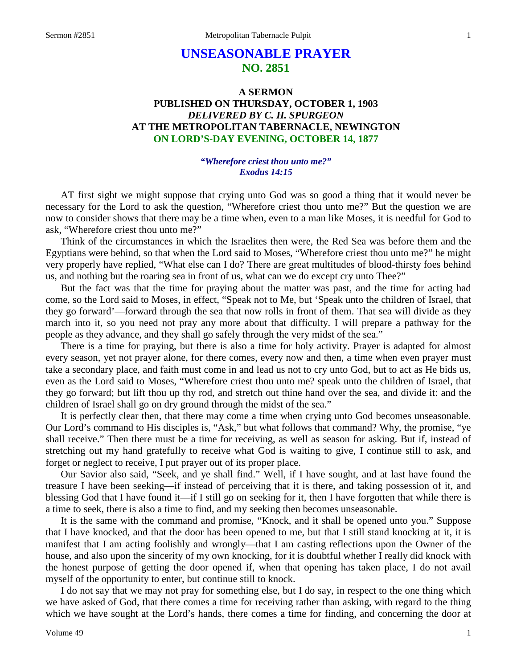# **UNSEASONABLE PRAYER NO. 2851**

# **A SERMON PUBLISHED ON THURSDAY, OCTOBER 1, 1903** *DELIVERED BY C. H. SPURGEON* **AT THE METROPOLITAN TABERNACLE, NEWINGTON ON LORD'S-DAY EVENING, OCTOBER 14, 1877**

### *"Wherefore criest thou unto me?" Exodus 14:15*

AT first sight we might suppose that crying unto God was so good a thing that it would never be necessary for the Lord to ask the question, "Wherefore criest thou unto me?" But the question we are now to consider shows that there may be a time when, even to a man like Moses, it is needful for God to ask, "Wherefore criest thou unto me?"

Think of the circumstances in which the Israelites then were, the Red Sea was before them and the Egyptians were behind, so that when the Lord said to Moses, "Wherefore criest thou unto me?" he might very properly have replied, "What else can I do? There are great multitudes of blood-thirsty foes behind us, and nothing but the roaring sea in front of us, what can we do except cry unto Thee?"

But the fact was that the time for praying about the matter was past, and the time for acting had come, so the Lord said to Moses, in effect, "Speak not to Me, but 'Speak unto the children of Israel, that they go forward'—forward through the sea that now rolls in front of them. That sea will divide as they march into it, so you need not pray any more about that difficulty. I will prepare a pathway for the people as they advance, and they shall go safely through the very midst of the sea."

There is a time for praying, but there is also a time for holy activity. Prayer is adapted for almost every season, yet not prayer alone, for there comes, every now and then, a time when even prayer must take a secondary place, and faith must come in and lead us not to cry unto God, but to act as He bids us, even as the Lord said to Moses, "Wherefore criest thou unto me? speak unto the children of Israel, that they go forward; but lift thou up thy rod, and stretch out thine hand over the sea, and divide it: and the children of Israel shall go on dry ground through the midst of the sea."

It is perfectly clear then, that there may come a time when crying unto God becomes unseasonable. Our Lord's command to His disciples is, "Ask," but what follows that command? Why, the promise, "ye shall receive." Then there must be a time for receiving, as well as season for asking. But if, instead of stretching out my hand gratefully to receive what God is waiting to give, I continue still to ask, and forget or neglect to receive, I put prayer out of its proper place.

Our Savior also said, "Seek, and ye shall find." Well, if I have sought, and at last have found the treasure I have been seeking—if instead of perceiving that it is there, and taking possession of it, and blessing God that I have found it—if I still go on seeking for it, then I have forgotten that while there is a time to seek, there is also a time to find, and my seeking then becomes unseasonable.

It is the same with the command and promise, "Knock, and it shall be opened unto you." Suppose that I have knocked, and that the door has been opened to me, but that I still stand knocking at it, it is manifest that I am acting foolishly and wrongly—that I am casting reflections upon the Owner of the house, and also upon the sincerity of my own knocking, for it is doubtful whether I really did knock with the honest purpose of getting the door opened if, when that opening has taken place, I do not avail myself of the opportunity to enter, but continue still to knock.

I do not say that we may not pray for something else, but I do say, in respect to the one thing which we have asked of God, that there comes a time for receiving rather than asking, with regard to the thing which we have sought at the Lord's hands, there comes a time for finding, and concerning the door at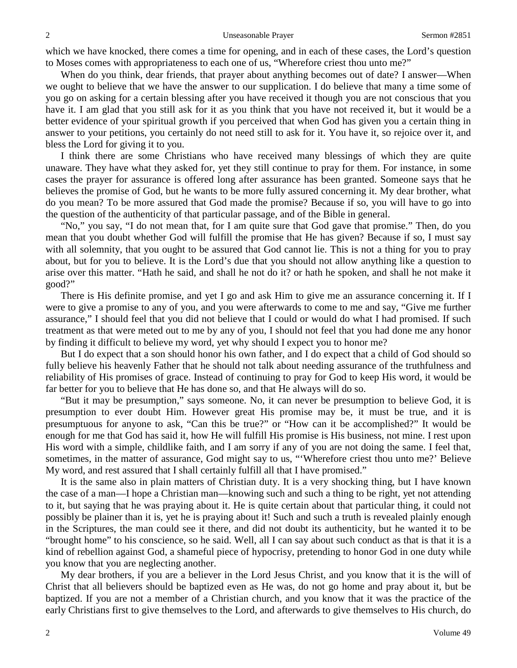which we have knocked, there comes a time for opening, and in each of these cases, the Lord's question to Moses comes with appropriateness to each one of us, "Wherefore criest thou unto me?"

When do you think, dear friends, that prayer about anything becomes out of date? I answer—When we ought to believe that we have the answer to our supplication. I do believe that many a time some of you go on asking for a certain blessing after you have received it though you are not conscious that you have it. I am glad that you still ask for it as you think that you have not received it, but it would be a better evidence of your spiritual growth if you perceived that when God has given you a certain thing in answer to your petitions, you certainly do not need still to ask for it. You have it, so rejoice over it, and bless the Lord for giving it to you.

I think there are some Christians who have received many blessings of which they are quite unaware. They have what they asked for, yet they still continue to pray for them. For instance, in some cases the prayer for assurance is offered long after assurance has been granted. Someone says that he believes the promise of God, but he wants to be more fully assured concerning it. My dear brother, what do you mean? To be more assured that God made the promise? Because if so, you will have to go into the question of the authenticity of that particular passage, and of the Bible in general.

"No," you say, "I do not mean that, for I am quite sure that God gave that promise." Then, do you mean that you doubt whether God will fulfill the promise that He has given? Because if so, I must say with all solemnity, that you ought to be assured that God cannot lie. This is not a thing for you to pray about, but for you to believe. It is the Lord's due that you should not allow anything like a question to arise over this matter. "Hath he said, and shall he not do it? or hath he spoken, and shall he not make it good?"

There is His definite promise, and yet I go and ask Him to give me an assurance concerning it. If I were to give a promise to any of you, and you were afterwards to come to me and say, "Give me further assurance," I should feel that you did not believe that I could or would do what I had promised. If such treatment as that were meted out to me by any of you, I should not feel that you had done me any honor by finding it difficult to believe my word, yet why should I expect you to honor me?

But I do expect that a son should honor his own father, and I do expect that a child of God should so fully believe his heavenly Father that he should not talk about needing assurance of the truthfulness and reliability of His promises of grace. Instead of continuing to pray for God to keep His word, it would be far better for you to believe that He has done so, and that He always will do so.

"But it may be presumption," says someone. No, it can never be presumption to believe God, it is presumption to ever doubt Him. However great His promise may be, it must be true, and it is presumptuous for anyone to ask, "Can this be true?" or "How can it be accomplished?" It would be enough for me that God has said it, how He will fulfill His promise is His business, not mine. I rest upon His word with a simple, childlike faith, and I am sorry if any of you are not doing the same. I feel that, sometimes, in the matter of assurance, God might say to us, "'Wherefore criest thou unto me?' Believe My word, and rest assured that I shall certainly fulfill all that I have promised."

It is the same also in plain matters of Christian duty. It is a very shocking thing, but I have known the case of a man—I hope a Christian man—knowing such and such a thing to be right, yet not attending to it, but saying that he was praying about it. He is quite certain about that particular thing, it could not possibly be plainer than it is, yet he is praying about it! Such and such a truth is revealed plainly enough in the Scriptures, the man could see it there, and did not doubt its authenticity, but he wanted it to be "brought home" to his conscience, so he said. Well, all I can say about such conduct as that is that it is a kind of rebellion against God, a shameful piece of hypocrisy, pretending to honor God in one duty while you know that you are neglecting another.

My dear brothers, if you are a believer in the Lord Jesus Christ, and you know that it is the will of Christ that all believers should be baptized even as He was, do not go home and pray about it, but be baptized. If you are not a member of a Christian church, and you know that it was the practice of the early Christians first to give themselves to the Lord, and afterwards to give themselves to His church, do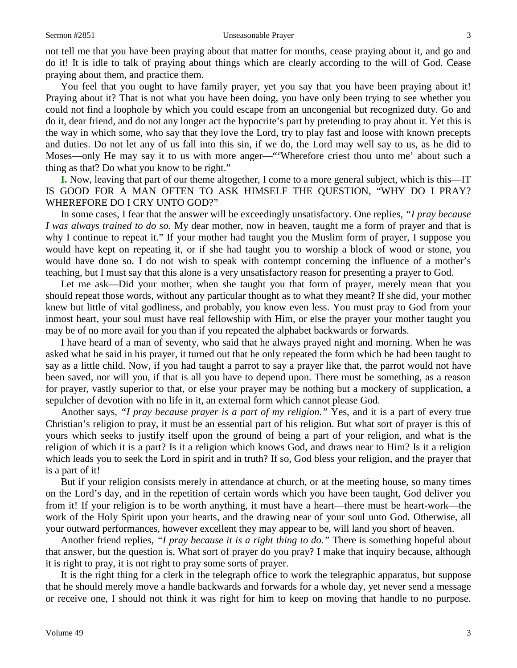not tell me that you have been praying about that matter for months, cease praying about it, and go and do it! It is idle to talk of praying about things which are clearly according to the will of God. Cease praying about them, and practice them.

You feel that you ought to have family prayer, yet you say that you have been praying about it! Praying about it? That is not what you have been doing, you have only been trying to see whether you could not find a loophole by which you could escape from an uncongenial but recognized duty. Go and do it, dear friend, and do not any longer act the hypocrite's part by pretending to pray about it. Yet this is the way in which some, who say that they love the Lord, try to play fast and loose with known precepts and duties. Do not let any of us fall into this sin, if we do, the Lord may well say to us, as he did to Moses—only He may say it to us with more anger—"'Wherefore criest thou unto me' about such a thing as that? Do what you know to be right."

**I.** Now, leaving that part of our theme altogether, I come to a more general subject, which is this—IT IS GOOD FOR A MAN OFTEN TO ASK HIMSELF THE QUESTION, "WHY DO I PRAY? WHEREFORE DO I CRY UNTO GOD?"

In some cases, I fear that the answer will be exceedingly unsatisfactory. One replies, *"I pray because I was always trained to do so.* My dear mother, now in heaven, taught me a form of prayer and that is why I continue to repeat it." If your mother had taught you the Muslim form of prayer, I suppose you would have kept on repeating it, or if she had taught you to worship a block of wood or stone, you would have done so. I do not wish to speak with contempt concerning the influence of a mother's teaching, but I must say that this alone is a very unsatisfactory reason for presenting a prayer to God.

Let me ask—Did your mother, when she taught you that form of prayer, merely mean that you should repeat those words, without any particular thought as to what they meant? If she did, your mother knew but little of vital godliness, and probably, you know even less. You must pray to God from your inmost heart, your soul must have real fellowship with Him, or else the prayer your mother taught you may be of no more avail for you than if you repeated the alphabet backwards or forwards.

I have heard of a man of seventy, who said that he always prayed night and morning. When he was asked what he said in his prayer, it turned out that he only repeated the form which he had been taught to say as a little child. Now, if you had taught a parrot to say a prayer like that, the parrot would not have been saved, nor will you, if that is all you have to depend upon. There must be something, as a reason for prayer, vastly superior to that, or else your prayer may be nothing but a mockery of supplication, a sepulcher of devotion with no life in it, an external form which cannot please God.

Another says, *"I pray because prayer is a part of my religion."* Yes, and it is a part of every true Christian's religion to pray, it must be an essential part of his religion. But what sort of prayer is this of yours which seeks to justify itself upon the ground of being a part of your religion, and what is the religion of which it is a part? Is it a religion which knows God, and draws near to Him? Is it a religion which leads you to seek the Lord in spirit and in truth? If so, God bless your religion, and the prayer that is a part of it!

But if your religion consists merely in attendance at church, or at the meeting house, so many times on the Lord's day, and in the repetition of certain words which you have been taught, God deliver you from it! If your religion is to be worth anything, it must have a heart—there must be heart-work—the work of the Holy Spirit upon your hearts, and the drawing near of your soul unto God. Otherwise, all your outward performances, however excellent they may appear to be, will land you short of heaven.

Another friend replies, *"I pray because it is a right thing to do."* There is something hopeful about that answer, but the question is, What sort of prayer do you pray? I make that inquiry because, although it is right to pray, it is not right to pray some sorts of prayer.

It is the right thing for a clerk in the telegraph office to work the telegraphic apparatus, but suppose that he should merely move a handle backwards and forwards for a whole day, yet never send a message or receive one, I should not think it was right for him to keep on moving that handle to no purpose.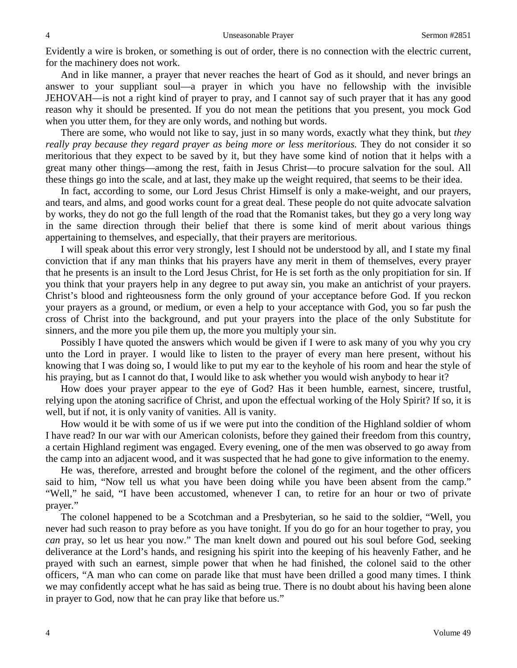Evidently a wire is broken, or something is out of order, there is no connection with the electric current, for the machinery does not work.

And in like manner, a prayer that never reaches the heart of God as it should, and never brings an answer to your suppliant soul—a prayer in which you have no fellowship with the invisible JEHOVAH—is not a right kind of prayer to pray, and I cannot say of such prayer that it has any good reason why it should be presented. If you do not mean the petitions that you present, you mock God when you utter them, for they are only words, and nothing but words.

There are some, who would not like to say, just in so many words, exactly what they think, but *they really pray because they regard prayer as being more or less meritorious.* They do not consider it so meritorious that they expect to be saved by it, but they have some kind of notion that it helps with a great many other things—among the rest, faith in Jesus Christ—to procure salvation for the soul. All these things go into the scale, and at last, they make up the weight required, that seems to be their idea.

In fact, according to some, our Lord Jesus Christ Himself is only a make-weight, and our prayers, and tears, and alms, and good works count for a great deal. These people do not quite advocate salvation by works, they do not go the full length of the road that the Romanist takes, but they go a very long way in the same direction through their belief that there is some kind of merit about various things appertaining to themselves, and especially, that their prayers are meritorious.

I will speak about this error very strongly, lest I should not be understood by all, and I state my final conviction that if any man thinks that his prayers have any merit in them of themselves, every prayer that he presents is an insult to the Lord Jesus Christ, for He is set forth as the only propitiation for sin. If you think that your prayers help in any degree to put away sin, you make an antichrist of your prayers. Christ's blood and righteousness form the only ground of your acceptance before God. If you reckon your prayers as a ground, or medium, or even a help to your acceptance with God, you so far push the cross of Christ into the background, and put your prayers into the place of the only Substitute for sinners, and the more you pile them up, the more you multiply your sin.

Possibly I have quoted the answers which would be given if I were to ask many of you why you cry unto the Lord in prayer. I would like to listen to the prayer of every man here present, without his knowing that I was doing so, I would like to put my ear to the keyhole of his room and hear the style of his praying, but as I cannot do that, I would like to ask whether you would wish anybody to hear it?

How does your prayer appear to the eye of God? Has it been humble, earnest, sincere, trustful, relying upon the atoning sacrifice of Christ, and upon the effectual working of the Holy Spirit? If so, it is well, but if not, it is only vanity of vanities. All is vanity.

How would it be with some of us if we were put into the condition of the Highland soldier of whom I have read? In our war with our American colonists, before they gained their freedom from this country, a certain Highland regiment was engaged. Every evening, one of the men was observed to go away from the camp into an adjacent wood, and it was suspected that he had gone to give information to the enemy.

He was, therefore, arrested and brought before the colonel of the regiment, and the other officers said to him, "Now tell us what you have been doing while you have been absent from the camp." "Well," he said, "I have been accustomed, whenever I can, to retire for an hour or two of private prayer."

The colonel happened to be a Scotchman and a Presbyterian, so he said to the soldier, "Well, you never had such reason to pray before as you have tonight. If you do go for an hour together to pray, you *can* pray, so let us hear you now." The man knelt down and poured out his soul before God, seeking deliverance at the Lord's hands, and resigning his spirit into the keeping of his heavenly Father, and he prayed with such an earnest, simple power that when he had finished, the colonel said to the other officers, "A man who can come on parade like that must have been drilled a good many times. I think we may confidently accept what he has said as being true. There is no doubt about his having been alone in prayer to God, now that he can pray like that before us."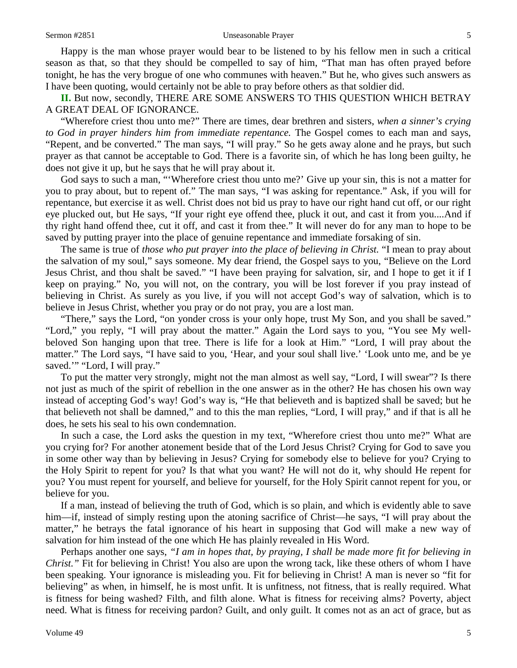Happy is the man whose prayer would bear to be listened to by his fellow men in such a critical season as that, so that they should be compelled to say of him, "That man has often prayed before tonight, he has the very brogue of one who communes with heaven." But he, who gives such answers as I have been quoting, would certainly not be able to pray before others as that soldier did.

**II.** But now, secondly, THERE ARE SOME ANSWERS TO THIS QUESTION WHICH BETRAY A GREAT DEAL OF IGNORANCE.

"Wherefore criest thou unto me?" There are times, dear brethren and sisters, *when a sinner's crying to God in prayer hinders him from immediate repentance.* The Gospel comes to each man and says, "Repent, and be converted." The man says, "I will pray." So he gets away alone and he prays, but such prayer as that cannot be acceptable to God. There is a favorite sin, of which he has long been guilty, he does not give it up, but he says that he will pray about it.

God says to such a man, "'Wherefore criest thou unto me?' Give up your sin, this is not a matter for you to pray about, but to repent of." The man says, "I was asking for repentance." Ask, if you will for repentance, but exercise it as well. Christ does not bid us pray to have our right hand cut off, or our right eye plucked out, but He says, "If your right eye offend thee, pluck it out, and cast it from you....And if thy right hand offend thee, cut it off, and cast it from thee." It will never do for any man to hope to be saved by putting prayer into the place of genuine repentance and immediate forsaking of sin.

The same is true of *those who put prayer into the place of believing in Christ.* "I mean to pray about the salvation of my soul," says someone. My dear friend, the Gospel says to you, "Believe on the Lord Jesus Christ, and thou shalt be saved." "I have been praying for salvation, sir, and I hope to get it if I keep on praying." No, you will not, on the contrary, you will be lost forever if you pray instead of believing in Christ. As surely as you live, if you will not accept God's way of salvation, which is to believe in Jesus Christ, whether you pray or do not pray, you are a lost man.

"There," says the Lord, "on yonder cross is your only hope, trust My Son, and you shall be saved." "Lord," you reply, "I will pray about the matter." Again the Lord says to you, "You see My wellbeloved Son hanging upon that tree. There is life for a look at Him." "Lord, I will pray about the matter." The Lord says, "I have said to you, 'Hear, and your soul shall live.' 'Look unto me, and be ye saved." "Lord, I will pray."

To put the matter very strongly, might not the man almost as well say, "Lord, I will swear"? Is there not just as much of the spirit of rebellion in the one answer as in the other? He has chosen his own way instead of accepting God's way! God's way is, "He that believeth and is baptized shall be saved; but he that believeth not shall be damned," and to this the man replies, "Lord, I will pray," and if that is all he does, he sets his seal to his own condemnation.

In such a case, the Lord asks the question in my text, "Wherefore criest thou unto me?" What are you crying for? For another atonement beside that of the Lord Jesus Christ? Crying for God to save you in some other way than by believing in Jesus? Crying for somebody else to believe for you? Crying to the Holy Spirit to repent for you? Is that what you want? He will not do it, why should He repent for you? You must repent for yourself, and believe for yourself, for the Holy Spirit cannot repent for you, or believe for you.

If a man, instead of believing the truth of God, which is so plain, and which is evidently able to save him—if, instead of simply resting upon the atoning sacrifice of Christ—he says, "I will pray about the matter," he betrays the fatal ignorance of his heart in supposing that God will make a new way of salvation for him instead of the one which He has plainly revealed in His Word.

Perhaps another one says, *"I am in hopes that, by praying, I shall be made more fit for believing in Christ.*" Fit for believing in Christ! You also are upon the wrong tack, like these others of whom I have been speaking. Your ignorance is misleading you. Fit for believing in Christ! A man is never so "fit for believing" as when, in himself, he is most unfit. It is unfitness, not fitness, that is really required. What is fitness for being washed? Filth, and filth alone. What is fitness for receiving alms? Poverty, abject need. What is fitness for receiving pardon? Guilt, and only guilt. It comes not as an act of grace, but as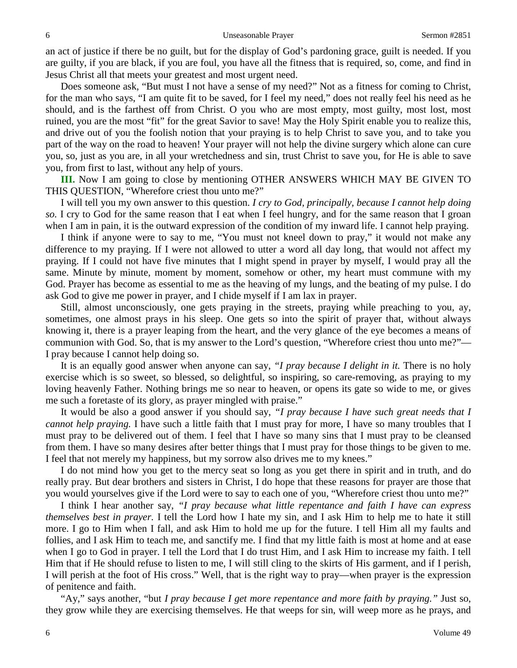an act of justice if there be no guilt, but for the display of God's pardoning grace, guilt is needed. If you are guilty, if you are black, if you are foul, you have all the fitness that is required, so, come, and find in Jesus Christ all that meets your greatest and most urgent need.

Does someone ask, "But must I not have a sense of my need?" Not as a fitness for coming to Christ, for the man who says, "I am quite fit to be saved, for I feel my need," does not really feel his need as he should, and is the farthest off from Christ. O you who are most empty, most guilty, most lost, most ruined, you are the most "fit" for the great Savior to save! May the Holy Spirit enable you to realize this, and drive out of you the foolish notion that your praying is to help Christ to save you, and to take you part of the way on the road to heaven! Your prayer will not help the divine surgery which alone can cure you, so, just as you are, in all your wretchedness and sin, trust Christ to save you, for He is able to save you, from first to last, without any help of yours.

**III.** Now I am going to close by mentioning OTHER ANSWERS WHICH MAY BE GIVEN TO THIS QUESTION, "Wherefore criest thou unto me?"

I will tell you my own answer to this question. *I cry to God, principally, because I cannot help doing so.* I cry to God for the same reason that I eat when I feel hungry, and for the same reason that I groan when I am in pain, it is the outward expression of the condition of my inward life. I cannot help praying.

I think if anyone were to say to me, "You must not kneel down to pray," it would not make any difference to my praying. If I were not allowed to utter a word all day long, that would not affect my praying. If I could not have five minutes that I might spend in prayer by myself, I would pray all the same. Minute by minute, moment by moment, somehow or other, my heart must commune with my God. Prayer has become as essential to me as the heaving of my lungs, and the beating of my pulse. I do ask God to give me power in prayer, and I chide myself if I am lax in prayer.

Still, almost unconsciously, one gets praying in the streets, praying while preaching to you, ay, sometimes, one almost prays in his sleep. One gets so into the spirit of prayer that, without always knowing it, there is a prayer leaping from the heart, and the very glance of the eye becomes a means of communion with God. So, that is my answer to the Lord's question, "Wherefore criest thou unto me?"— I pray because I cannot help doing so.

It is an equally good answer when anyone can say, *"I pray because I delight in it.* There is no holy exercise which is so sweet, so blessed, so delightful, so inspiring, so care-removing, as praying to my loving heavenly Father. Nothing brings me so near to heaven, or opens its gate so wide to me, or gives me such a foretaste of its glory, as prayer mingled with praise."

It would be also a good answer if you should say, *"I pray because I have such great needs that I cannot help praying.* I have such a little faith that I must pray for more, I have so many troubles that I must pray to be delivered out of them. I feel that I have so many sins that I must pray to be cleansed from them. I have so many desires after better things that I must pray for those things to be given to me. I feel that not merely my happiness, but my sorrow also drives me to my knees."

I do not mind how you get to the mercy seat so long as you get there in spirit and in truth, and do really pray. But dear brothers and sisters in Christ, I do hope that these reasons for prayer are those that you would yourselves give if the Lord were to say to each one of you, "Wherefore criest thou unto me?"

I think I hear another say, *"I pray because what little repentance and faith I have can express themselves best in prayer.* I tell the Lord how I hate my sin, and I ask Him to help me to hate it still more. I go to Him when I fall, and ask Him to hold me up for the future. I tell Him all my faults and follies, and I ask Him to teach me, and sanctify me. I find that my little faith is most at home and at ease when I go to God in prayer. I tell the Lord that I do trust Him, and I ask Him to increase my faith. I tell Him that if He should refuse to listen to me, I will still cling to the skirts of His garment, and if I perish, I will perish at the foot of His cross." Well, that is the right way to pray—when prayer is the expression of penitence and faith.

"Ay," says another, "but *I pray because I get more repentance and more faith by praying."* Just so, they grow while they are exercising themselves. He that weeps for sin, will weep more as he prays, and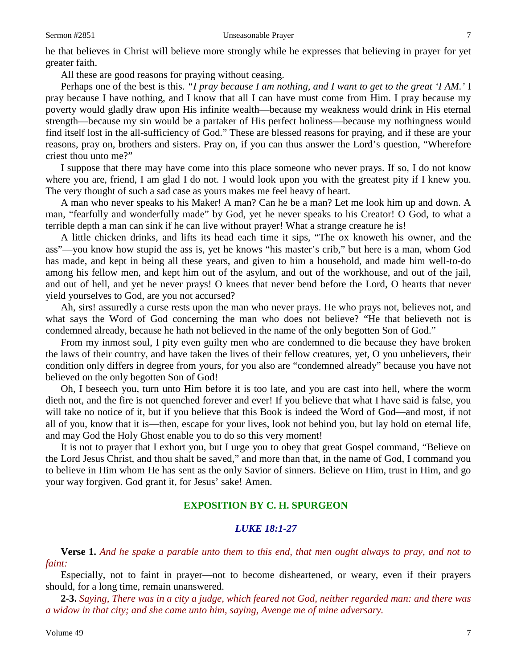#### Sermon #2851 **Unseasonable Prayer** 7

he that believes in Christ will believe more strongly while he expresses that believing in prayer for yet greater faith.

All these are good reasons for praying without ceasing.

Perhaps one of the best is this. *"I pray because I am nothing, and I want to get to the great 'I AM.'* I pray because I have nothing, and I know that all I can have must come from Him. I pray because my poverty would gladly draw upon His infinite wealth—because my weakness would drink in His eternal strength—because my sin would be a partaker of His perfect holiness—because my nothingness would find itself lost in the all-sufficiency of God." These are blessed reasons for praying, and if these are your reasons, pray on, brothers and sisters. Pray on, if you can thus answer the Lord's question, "Wherefore criest thou unto me?"

I suppose that there may have come into this place someone who never prays. If so, I do not know where you are, friend, I am glad I do not. I would look upon you with the greatest pity if I knew you. The very thought of such a sad case as yours makes me feel heavy of heart.

A man who never speaks to his Maker! A man? Can he be a man? Let me look him up and down. A man, "fearfully and wonderfully made" by God, yet he never speaks to his Creator! O God, to what a terrible depth a man can sink if he can live without prayer! What a strange creature he is!

A little chicken drinks, and lifts its head each time it sips, "The ox knoweth his owner, and the ass"—you know how stupid the ass is, yet he knows "his master's crib," but here is a man, whom God has made, and kept in being all these years, and given to him a household, and made him well-to-do among his fellow men, and kept him out of the asylum, and out of the workhouse, and out of the jail, and out of hell, and yet he never prays! O knees that never bend before the Lord, O hearts that never yield yourselves to God, are you not accursed?

Ah, sirs! assuredly a curse rests upon the man who never prays. He who prays not, believes not, and what says the Word of God concerning the man who does not believe? "He that believeth not is condemned already, because he hath not believed in the name of the only begotten Son of God."

From my inmost soul, I pity even guilty men who are condemned to die because they have broken the laws of their country, and have taken the lives of their fellow creatures, yet, O you unbelievers, their condition only differs in degree from yours, for you also are "condemned already" because you have not believed on the only begotten Son of God!

Oh, I beseech you, turn unto Him before it is too late, and you are cast into hell, where the worm dieth not, and the fire is not quenched forever and ever! If you believe that what I have said is false, you will take no notice of it, but if you believe that this Book is indeed the Word of God—and most, if not all of you, know that it is—then, escape for your lives, look not behind you, but lay hold on eternal life, and may God the Holy Ghost enable you to do so this very moment!

It is not to prayer that I exhort you, but I urge you to obey that great Gospel command, "Believe on the Lord Jesus Christ, and thou shalt be saved," and more than that, in the name of God, I command you to believe in Him whom He has sent as the only Savior of sinners. Believe on Him, trust in Him, and go your way forgiven. God grant it, for Jesus' sake! Amen.

# **EXPOSITION BY C. H. SPURGEON**

## *LUKE 18:1-27*

**Verse 1.** *And he spake a parable unto them to this end, that men ought always to pray, and not to faint:*

Especially, not to faint in prayer—not to become disheartened, or weary, even if their prayers should, for a long time, remain unanswered.

**2-3.** *Saying, There was in a city a judge, which feared not God, neither regarded man: and there was a widow in that city; and she came unto him, saying, Avenge me of mine adversary.*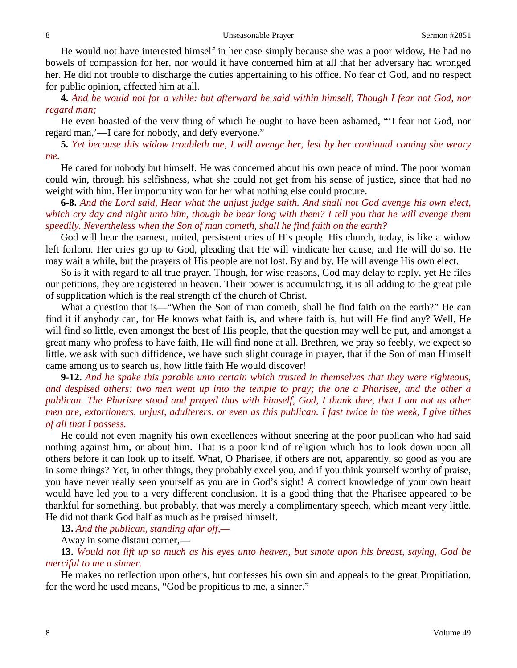He would not have interested himself in her case simply because she was a poor widow, He had no bowels of compassion for her, nor would it have concerned him at all that her adversary had wronged her. He did not trouble to discharge the duties appertaining to his office. No fear of God, and no respect for public opinion, affected him at all.

**4.** *And he would not for a while: but afterward he said within himself, Though I fear not God, nor regard man;*

He even boasted of the very thing of which he ought to have been ashamed, "'I fear not God, nor regard man,'—I care for nobody, and defy everyone."

**5.** *Yet because this widow troubleth me, I will avenge her, lest by her continual coming she weary me.*

He cared for nobody but himself. He was concerned about his own peace of mind. The poor woman could win, through his selfishness, what she could not get from his sense of justice, since that had no weight with him. Her importunity won for her what nothing else could procure.

**6-8.** *And the Lord said, Hear what the unjust judge saith. And shall not God avenge his own elect, which cry day and night unto him, though he bear long with them? I tell you that he will avenge them speedily. Nevertheless when the Son of man cometh, shall he find faith on the earth?*

God will hear the earnest, united, persistent cries of His people. His church, today, is like a widow left forlorn. Her cries go up to God, pleading that He will vindicate her cause, and He will do so. He may wait a while, but the prayers of His people are not lost. By and by, He will avenge His own elect.

So is it with regard to all true prayer. Though, for wise reasons, God may delay to reply, yet He files our petitions, they are registered in heaven. Their power is accumulating, it is all adding to the great pile of supplication which is the real strength of the church of Christ.

What a question that is—"When the Son of man cometh, shall he find faith on the earth?" He can find it if anybody can, for He knows what faith is, and where faith is, but will He find any? Well, He will find so little, even amongst the best of His people, that the question may well be put, and amongst a great many who profess to have faith, He will find none at all. Brethren, we pray so feebly, we expect so little, we ask with such diffidence, we have such slight courage in prayer, that if the Son of man Himself came among us to search us, how little faith He would discover!

**9-12.** *And he spake this parable unto certain which trusted in themselves that they were righteous, and despised others: two men went up into the temple to pray; the one a Pharisee, and the other a publican. The Pharisee stood and prayed thus with himself, God, I thank thee, that I am not as other men are, extortioners, unjust, adulterers, or even as this publican. I fast twice in the week, I give tithes of all that I possess.*

He could not even magnify his own excellences without sneering at the poor publican who had said nothing against him, or about him. That is a poor kind of religion which has to look down upon all others before it can look up to itself. What, O Pharisee, if others are not, apparently, so good as you are in some things? Yet, in other things, they probably excel you, and if you think yourself worthy of praise, you have never really seen yourself as you are in God's sight! A correct knowledge of your own heart would have led you to a very different conclusion. It is a good thing that the Pharisee appeared to be thankful for something, but probably, that was merely a complimentary speech, which meant very little. He did not thank God half as much as he praised himself.

**13.** *And the publican, standing afar off,—*

Away in some distant corner,—

**13.** *Would not lift up so much as his eyes unto heaven, but smote upon his breast, saying, God be merciful to me a sinner.*

He makes no reflection upon others, but confesses his own sin and appeals to the great Propitiation, for the word he used means, "God be propitious to me, a sinner."